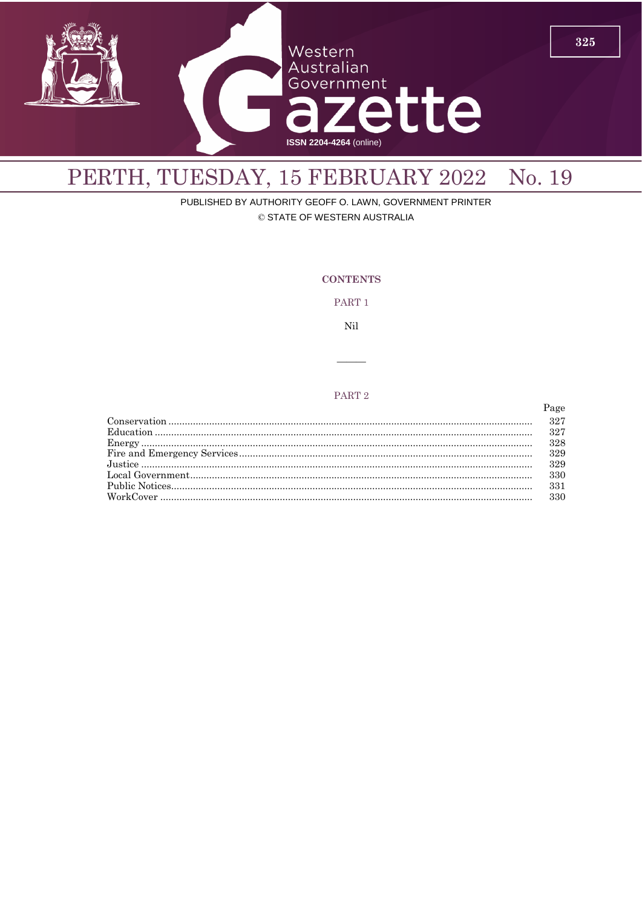

# PERTH, TUESDAY, 15 FEBRUARY 2022 No. 19

PUBLISHED BY AUTHORITY GEOFF O. LAWN, GOVERNMENT PRINTER © STATE OF WESTERN AUSTRALIA

**CONTENTS** 

PART 1

Nil

## PART<sub>2</sub>

| 327 |
|-----|
| 327 |
| 328 |
| 329 |
| 329 |
| 330 |
| 331 |
| 330 |